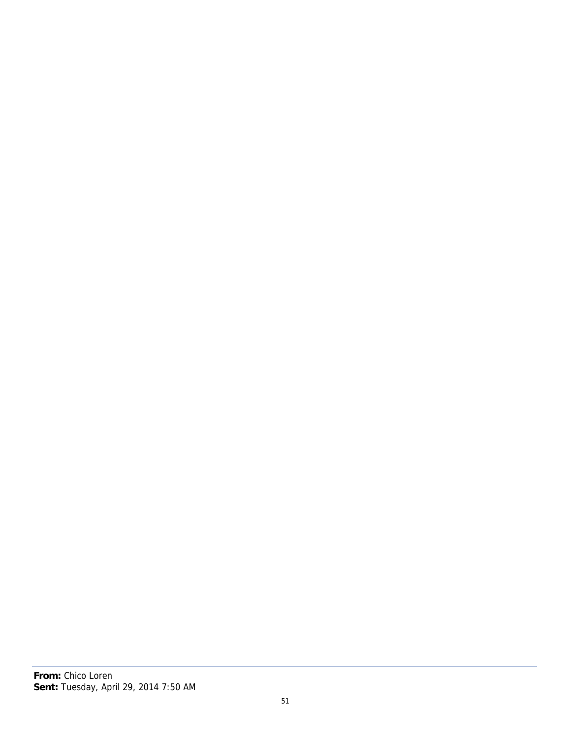## **From:** Chico Loren

## **Sent:** Tuesday, April 29, 2014 7:50 AM

51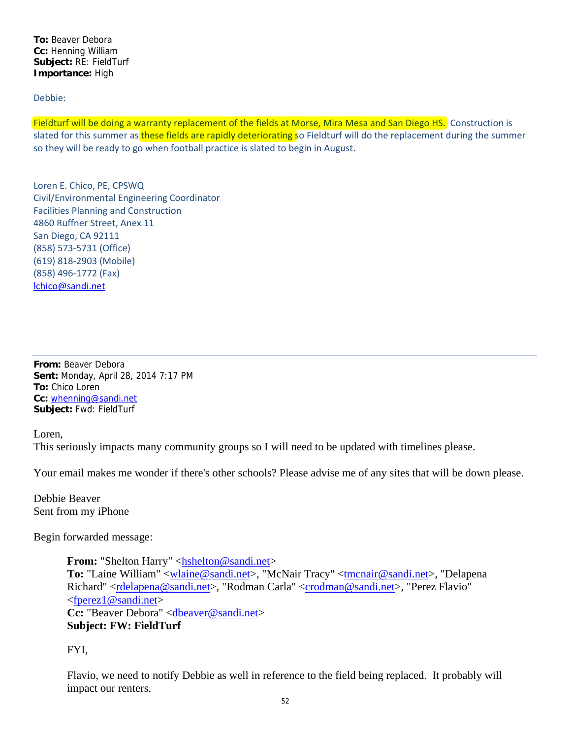**To:** Beaver Debora **Cc:** Henning William **Subject:** RE: FieldTurf **Importance:** High

Debbie:

Fieldturf will be doing a warranty replacement of the fields at Morse, Mira Mesa and San Diego HS. Construction is slated for this summer as these fields are rapidly deteriorating so Fieldturf will do the replacement during the summer so they will be ready to go when football practice is slated to begin in August.

Loren E. Chico, PE, CPSWQ Civil/Environmental Engineering Coordinator Facilities Planning and Construction 4860 Ruffner Street, Anex 11 San Diego, CA 92111 (858) 573‐5731 (Office) (619) 818‐2903 (Mobile) (858) 496‐1772 (Fax) lchico@sandi.net

**From:** Beaver Debora **Sent:** Monday, April 28, 2014 7:17 PM **To:** Chico Loren **Cc:** whenning@sandi.net **Subject:** Fwd: FieldTurf

Loren,

This seriously impacts many community groups so I will need to be updated with timelines please.

Your email makes me wonder if there's other schools? Please advise me of any sites that will be down please.

Debbie Beaver Sent from my iPhone

Begin forwarded message:

**From:** "Shelton Harry" <hshelton@sandi.net> To: "Laine William" <wlaine@sandi.net>, "McNair Tracy" <tmcnair@sandi.net>, "Delapena Richard" <rdelapena@sandi.net>, "Rodman Carla" <crodman@sandi.net>, "Perez Flavio" <fperez1@sandi.net> Cc: "Beaver Debora" <dbeaver@sandi.net> **Subject: FW: FieldTurf**

FYI,

Flavio, we need to notify Debbie as well in reference to the field being replaced. It probably will impact our renters.